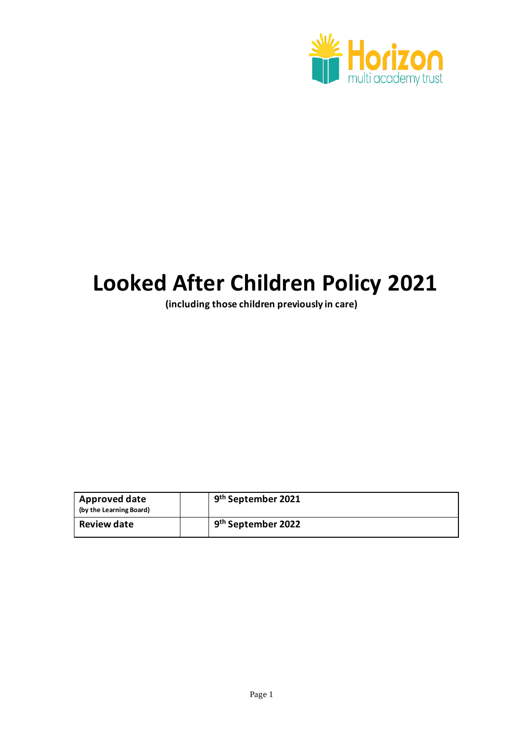

# **Looked After Children Policy 2021**

**(including those children previously in care)**

| <b>Approved date</b><br>(by the Learning Board) | 9 <sup>th</sup> September 2021 |
|-------------------------------------------------|--------------------------------|
| <b>Review date</b>                              | 9 <sup>th</sup> September 2022 |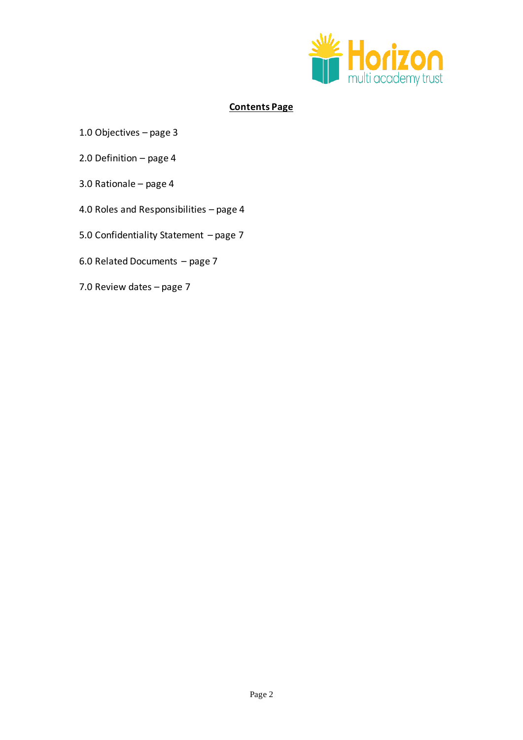

# **Contents Page**

- 1.0 Objectives page 3
- 2.0 Definition page 4
- 3.0 Rationale page 4
- 4.0 Roles and Responsibilities page 4
- 5.0 Confidentiality Statement page 7
- 6.0 Related Documents page 7
- 7.0 Review dates page 7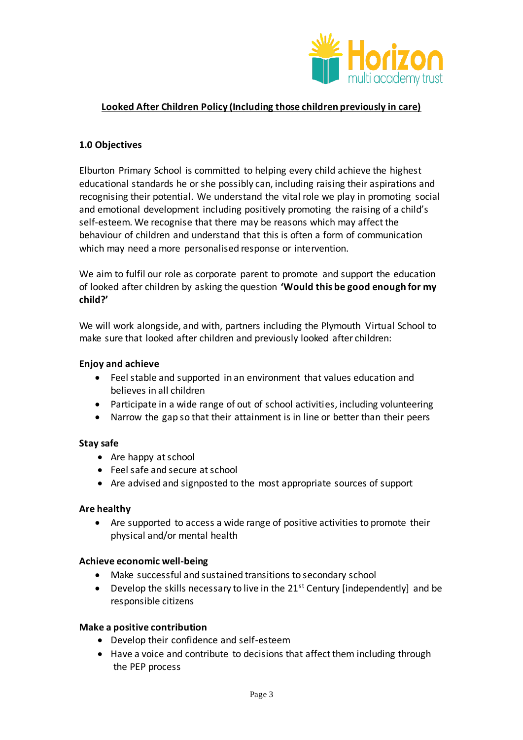

# **Looked After Children Policy (Including those children previously in care)**

## **1.0 Objectives**

Elburton Primary School is committed to helping every child achieve the highest educational standards he or she possibly can, including raising their aspirations and recognising their potential. We understand the vital role we play in promoting social and emotional development including positively promoting the raising of a child's self-esteem. We recognise that there may be reasons which may affect the behaviour of children and understand that this is often a form of communication which may need a more personalised response or intervention.

We aim to fulfil our role as corporate parent to promote and support the education of looked after children by asking the question **'Would this be good enough for my child?'**

We will work alongside, and with, partners including the Plymouth Virtual School to make sure that looked after children and previously looked after children:

## **Enjoy and achieve**

- Feel stable and supported in an environment that values education and believes in all children
- Participate in a wide range of out of school activities, including volunteering
- Narrow the gap so that their attainment is in line or better than their peers

## **Stay safe**

- Are happy at school
- Feel safe and secure at school
- Are advised and signposted to the most appropriate sources of support

## **Are healthy**

 Are supported to access a wide range of positive activities to promote their physical and/or mental health

## **Achieve economic well-being**

- Make successful and sustained transitions to secondary school
- **•** Develop the skills necessary to live in the  $21^{st}$  Century [independently] and be responsible citizens

## **Make a positive contribution**

- Develop their confidence and self-esteem
- Have a voice and contribute to decisions that affect them including through the PEP process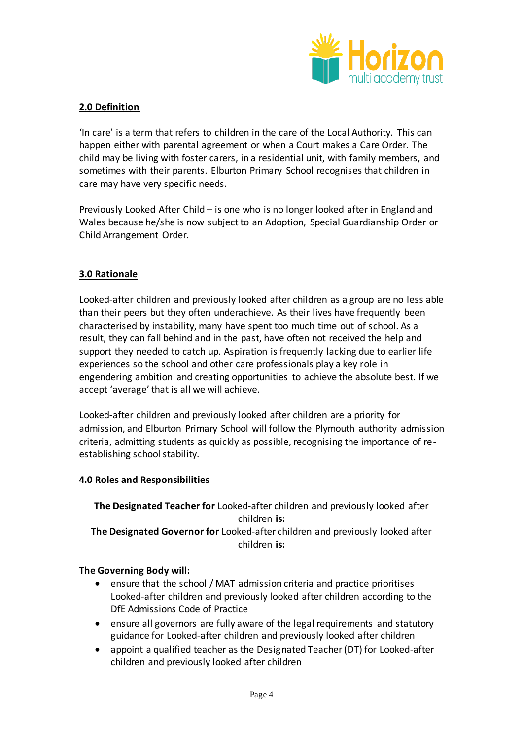

# **2.0 Definition**

'In care' is a term that refers to children in the care of the Local Authority. This can happen either with parental agreement or when a Court makes a Care Order. The child may be living with foster carers, in a residential unit, with family members, and sometimes with their parents. Elburton Primary School recognises that children in care may have very specific needs.

Previously Looked After Child – is one who is no longer looked after in England and Wales because he/she is now subject to an Adoption, Special Guardianship Order or Child Arrangement Order.

# **3.0 Rationale**

Looked-after children and previously looked after children as a group are no less able than their peers but they often underachieve. As their lives have frequently been characterised by instability, many have spent too much time out of school. As a result, they can fall behind and in the past, have often not received the help and support they needed to catch up. Aspiration is frequently lacking due to earlier life experiences so the school and other care professionals play a key role in engendering ambition and creating opportunities to achieve the absolute best. If we accept 'average' that is all we will achieve.

Looked-after children and previously looked after children are a priority for admission, and Elburton Primary School will follow the Plymouth authority admission criteria, admitting students as quickly as possible, recognising the importance of reestablishing school stability.

# **4.0 Roles and Responsibilities**

**The Designated Teacher for** Looked-after children and previously looked after children **is: The Designated Governor for** Looked-after children and previously looked after children **is:** 

# **The Governing Body will:**

- ensure that the school / MAT admission criteria and practice prioritises Looked-after children and previously looked after children according to the DfE Admissions Code of Practice
- ensure all governors are fully aware of the legal requirements and statutory guidance for Looked-after children and previously looked after children
- appoint a qualified teacher as the Designated Teacher (DT) for Looked-after children and previously looked after children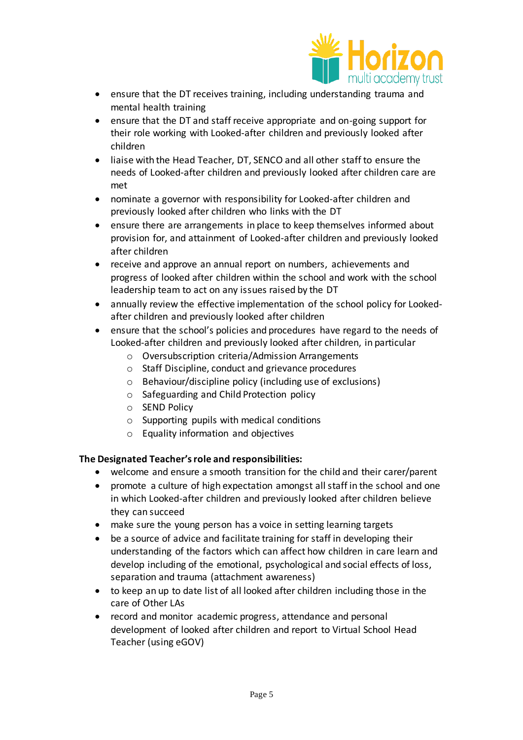

- ensure that the DT receives training, including understanding trauma and mental health training
- ensure that the DT and staff receive appropriate and on-going support for their role working with Looked-after children and previously looked after children
- liaise with the Head Teacher, DT, SENCO and all other staff to ensure the needs of Looked-after children and previously looked after children care are met
- nominate a governor with responsibility for Looked-after children and previously looked after children who links with the DT
- ensure there are arrangements in place to keep themselves informed about provision for, and attainment of Looked-after children and previously looked after children
- receive and approve an annual report on numbers, achievements and progress of looked after children within the school and work with the school leadership team to act on any issues raised by the DT
- annually review the effective implementation of the school policy for Lookedafter children and previously looked after children
- ensure that the school's policies and procedures have regard to the needs of Looked-after children and previously looked after children, in particular
	- o Oversubscription criteria/Admission Arrangements
	- o Staff Discipline, conduct and grievance procedures
	- o Behaviour/discipline policy (including use of exclusions)
	- o Safeguarding and Child Protection policy
	- o SEND Policy
	- o Supporting pupils with medical conditions
	- o Equality information and objectives

# **The Designated Teacher's role and responsibilities:**

- welcome and ensure a smooth transition for the child and their carer/parent
- promote a culture of high expectation amongst all staff in the school and one in which Looked-after children and previously looked after children believe they can succeed
- make sure the young person has a voice in setting learning targets
- be a source of advice and facilitate training for staff in developing their understanding of the factors which can affect how children in care learn and develop including of the emotional, psychological and social effects of loss, separation and trauma (attachment awareness)
- to keep an up to date list of all looked after children including those in the care of Other LAs
- record and monitor academic progress, attendance and personal development of looked after children and report to Virtual School Head Teacher (using eGOV)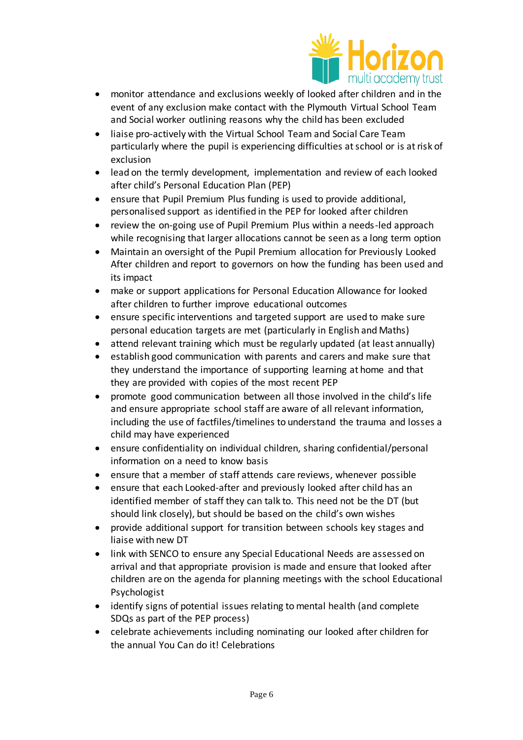

- monitor attendance and exclusions weekly of looked after children and in the event of any exclusion make contact with the Plymouth Virtual School Team and Social worker outlining reasons why the child has been excluded
- liaise pro-actively with the Virtual School Team and Social Care Team particularly where the pupil is experiencing difficulties at school or is at risk of exclusion
- lead on the termly development, implementation and review of each looked after child's Personal Education Plan (PEP)
- ensure that Pupil Premium Plus funding is used to provide additional, personalised support as identified in the PEP for looked after children
- review the on-going use of Pupil Premium Plus within a needs-led approach while recognising that larger allocations cannot be seen as a long term option
- Maintain an oversight of the Pupil Premium allocation for Previously Looked After children and report to governors on how the funding has been used and its impact
- make or support applications for Personal Education Allowance for looked after children to further improve educational outcomes
- ensure specific interventions and targeted support are used to make sure personal education targets are met (particularly in English and Maths)
- attend relevant training which must be regularly updated (at least annually)
- establish good communication with parents and carers and make sure that they understand the importance of supporting learning at home and that they are provided with copies of the most recent PEP
- promote good communication between all those involved in the child's life and ensure appropriate school staff are aware of all relevant information, including the use of factfiles/timelines to understand the trauma and losses a child may have experienced
- ensure confidentiality on individual children, sharing confidential/personal information on a need to know basis
- ensure that a member of staff attends care reviews, whenever possible
- ensure that each Looked-after and previously looked after child has an identified member of staff they can talk to. This need not be the DT (but should link closely), but should be based on the child's own wishes
- provide additional support for transition between schools key stages and liaise with new DT
- link with SENCO to ensure any Special Educational Needs are assessed on arrival and that appropriate provision is made and ensure that looked after children are on the agenda for planning meetings with the school Educational Psychologist
- identify signs of potential issues relating to mental health (and complete SDQs as part of the PEP process)
- celebrate achievements including nominating our looked after children for the annual You Can do it! Celebrations